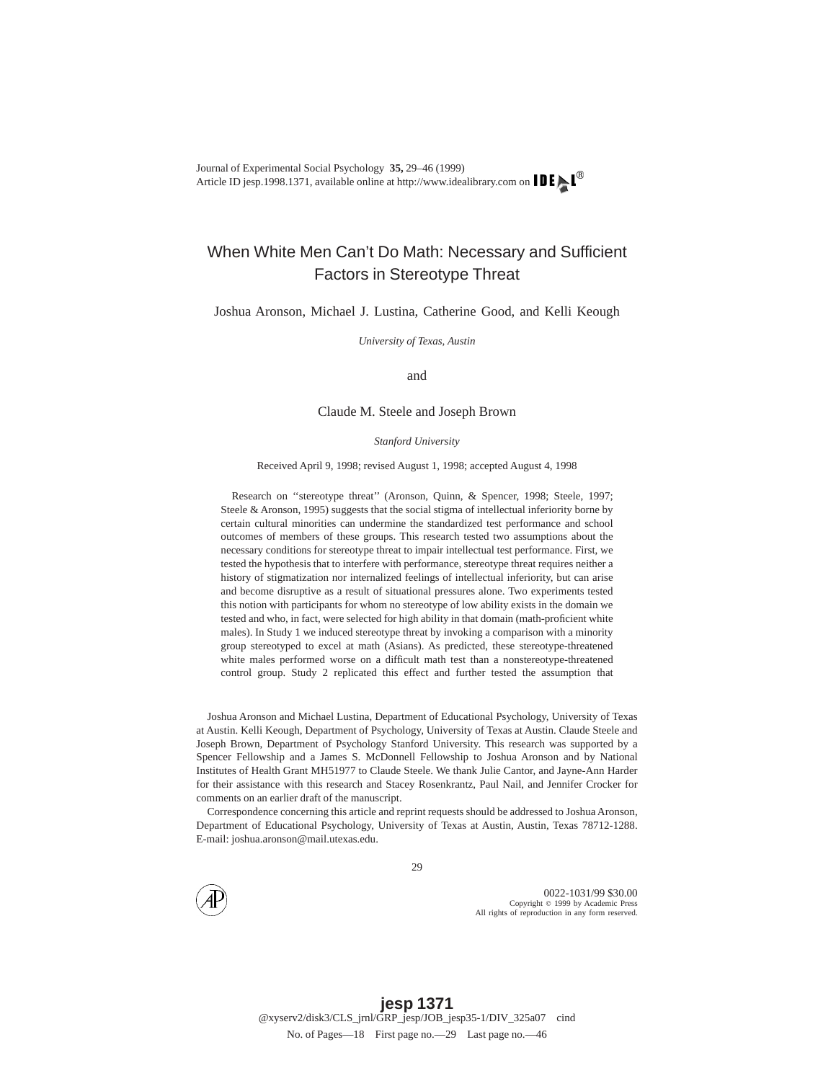# When White Men Can't Do Math: Necessary and Sufficient Factors in Stereotype Threat

Joshua Aronson, Michael J. Lustina, Catherine Good, and Kelli Keough

*University of Texas, Austin*

and

#### Claude M. Steele and Joseph Brown

*Stanford University*

Received April 9, 1998; revised August 1, 1998; accepted August 4, 1998

Research on ''stereotype threat'' (Aronson, Quinn, & Spencer, 1998; Steele, 1997; Steele & Aronson, 1995) suggests that the social stigma of intellectual inferiority borne by certain cultural minorities can undermine the standardized test performance and school outcomes of members of these groups. This research tested two assumptions about the necessary conditions for stereotype threat to impair intellectual test performance. First, we tested the hypothesis that to interfere with performance, stereotype threat requires neither a history of stigmatization nor internalized feelings of intellectual inferiority, but can arise and become disruptive as a result of situational pressures alone. Two experiments tested this notion with participants for whom no stereotype of low ability exists in the domain we tested and who, in fact, were selected for high ability in that domain (math-proficient white males). In Study 1 we induced stereotype threat by invoking a comparison with a minority group stereotyped to excel at math (Asians). As predicted, these stereotype-threatened white males performed worse on a difficult math test than a nonstereotype-threatened control group. Study 2 replicated this effect and further tested the assumption that

Joshua Aronson and Michael Lustina, Department of Educational Psychology, University of Texas at Austin. Kelli Keough, Department of Psychology, University of Texas at Austin. Claude Steele and Joseph Brown, Department of Psychology Stanford University. This research was supported by a Spencer Fellowship and a James S. McDonnell Fellowship to Joshua Aronson and by National Institutes of Health Grant MH51977 to Claude Steele. We thank Julie Cantor, and Jayne-Ann Harder for their assistance with this research and Stacey Rosenkrantz, Paul Nail, and Jennifer Crocker for comments on an earlier draft of the manuscript.

Correspondence concerning this article and reprint requests should be addressed to Joshua Aronson, Department of Educational Psychology, University of Texas at Austin, Austin, Texas 78712-1288. E-mail: joshua.aronson@mail.utexas.edu.

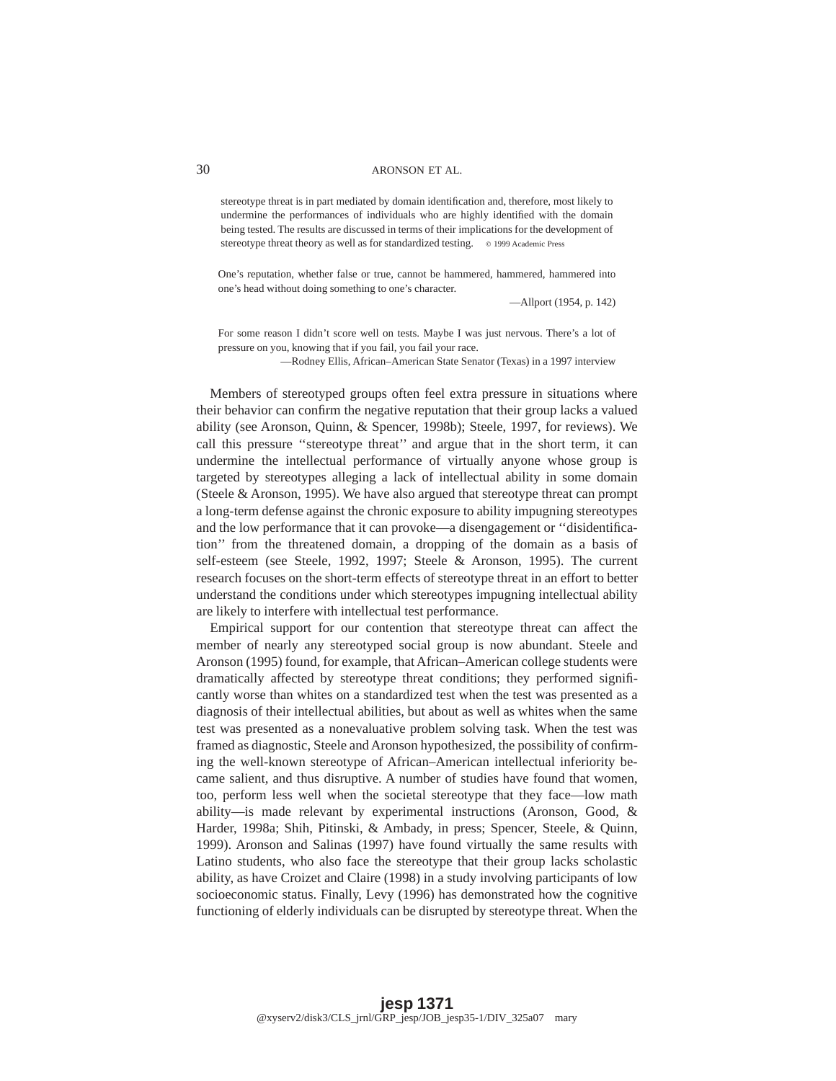stereotype threat is in part mediated by domain identification and, therefore, most likely to undermine the performances of individuals who are highly identified with the domain being tested. The results are discussed in terms of their implications for the development of stereotype threat theory as well as for standardized testing.  $\circ$  1999 Academic Press

One's reputation, whether false or true, cannot be hammered, hammered, hammered into one's head without doing something to one's character.

—Allport (1954, p. 142)

For some reason I didn't score well on tests. Maybe I was just nervous. There's a lot of pressure on you, knowing that if you fail, you fail your race.

—Rodney Ellis, African–American State Senator (Texas) in a 1997 interview

Members of stereotyped groups often feel extra pressure in situations where their behavior can confirm the negative reputation that their group lacks a valued ability (see Aronson, Quinn, & Spencer, 1998b); Steele, 1997, for reviews). We call this pressure ''stereotype threat'' and argue that in the short term, it can undermine the intellectual performance of virtually anyone whose group is targeted by stereotypes alleging a lack of intellectual ability in some domain (Steele & Aronson, 1995). We have also argued that stereotype threat can prompt a long-term defense against the chronic exposure to ability impugning stereotypes and the low performance that it can provoke—a disengagement or ''disidentification'' from the threatened domain, a dropping of the domain as a basis of self-esteem (see Steele, 1992, 1997; Steele & Aronson, 1995). The current research focuses on the short-term effects of stereotype threat in an effort to better understand the conditions under which stereotypes impugning intellectual ability are likely to interfere with intellectual test performance.

Empirical support for our contention that stereotype threat can affect the member of nearly any stereotyped social group is now abundant. Steele and Aronson (1995) found, for example, that African–American college students were dramatically affected by stereotype threat conditions; they performed significantly worse than whites on a standardized test when the test was presented as a diagnosis of their intellectual abilities, but about as well as whites when the same test was presented as a nonevaluative problem solving task. When the test was framed as diagnostic, Steele and Aronson hypothesized, the possibility of confirming the well-known stereotype of African–American intellectual inferiority became salient, and thus disruptive. A number of studies have found that women, too, perform less well when the societal stereotype that they face—low math ability—is made relevant by experimental instructions (Aronson, Good, & Harder, 1998a; Shih, Pitinski, & Ambady, in press; Spencer, Steele, & Quinn, 1999). Aronson and Salinas (1997) have found virtually the same results with Latino students, who also face the stereotype that their group lacks scholastic ability, as have Croizet and Claire (1998) in a study involving participants of low socioeconomic status. Finally, Levy (1996) has demonstrated how the cognitive functioning of elderly individuals can be disrupted by stereotype threat. When the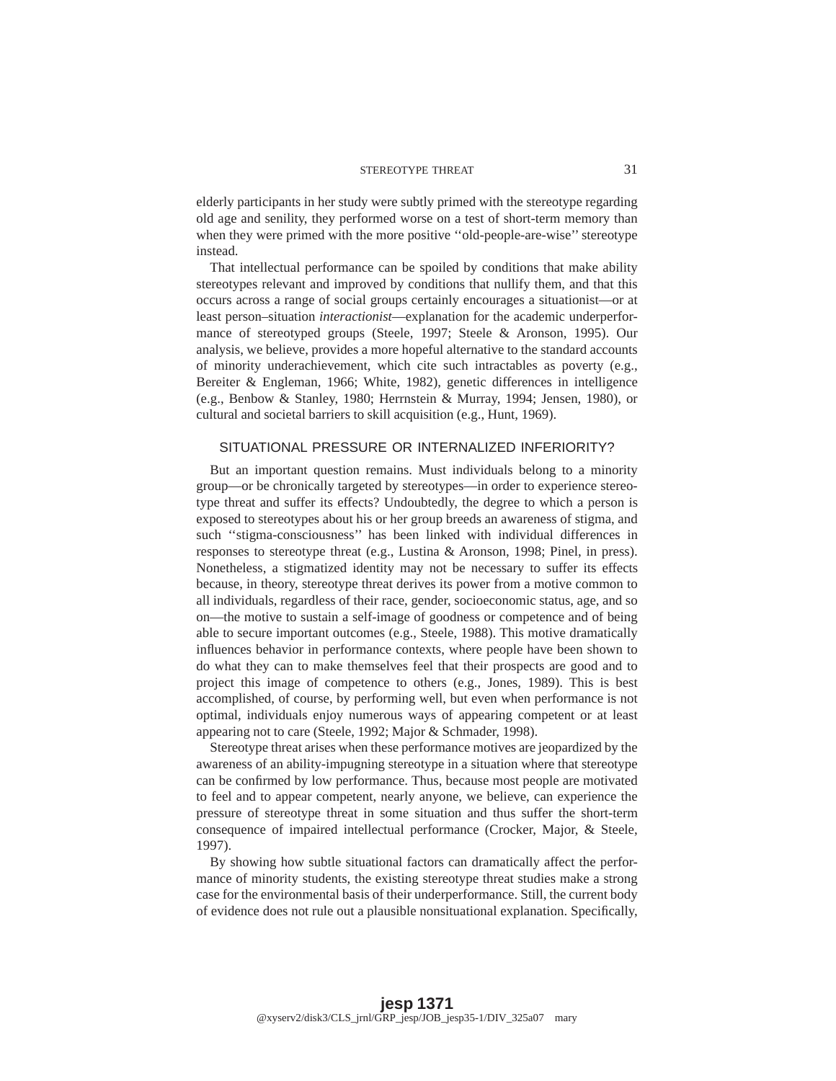elderly participants in her study were subtly primed with the stereotype regarding old age and senility, they performed worse on a test of short-term memory than when they were primed with the more positive "old-people-are-wise" stereotype instead.

That intellectual performance can be spoiled by conditions that make ability stereotypes relevant and improved by conditions that nullify them, and that this occurs across a range of social groups certainly encourages a situationist—or at least person–situation *interactionist*—explanation for the academic underperformance of stereotyped groups (Steele, 1997; Steele & Aronson, 1995). Our analysis, we believe, provides a more hopeful alternative to the standard accounts of minority underachievement, which cite such intractables as poverty (e.g., Bereiter & Engleman, 1966; White, 1982), genetic differences in intelligence (e.g., Benbow & Stanley, 1980; Herrnstein & Murray, 1994; Jensen, 1980), or cultural and societal barriers to skill acquisition (e.g., Hunt, 1969).

## SITUATIONAL PRESSURE OR INTERNALIZED INFERIORITY?

But an important question remains. Must individuals belong to a minority group—or be chronically targeted by stereotypes—in order to experience stereotype threat and suffer its effects? Undoubtedly, the degree to which a person is exposed to stereotypes about his or her group breeds an awareness of stigma, and such ''stigma-consciousness'' has been linked with individual differences in responses to stereotype threat (e.g., Lustina & Aronson, 1998; Pinel, in press). Nonetheless, a stigmatized identity may not be necessary to suffer its effects because, in theory, stereotype threat derives its power from a motive common to all individuals, regardless of their race, gender, socioeconomic status, age, and so on—the motive to sustain a self-image of goodness or competence and of being able to secure important outcomes (e.g., Steele, 1988). This motive dramatically influences behavior in performance contexts, where people have been shown to do what they can to make themselves feel that their prospects are good and to project this image of competence to others (e.g., Jones, 1989). This is best accomplished, of course, by performing well, but even when performance is not optimal, individuals enjoy numerous ways of appearing competent or at least appearing not to care (Steele, 1992; Major & Schmader, 1998).

Stereotype threat arises when these performance motives are jeopardized by the awareness of an ability-impugning stereotype in a situation where that stereotype can be confirmed by low performance. Thus, because most people are motivated to feel and to appear competent, nearly anyone, we believe, can experience the pressure of stereotype threat in some situation and thus suffer the short-term consequence of impaired intellectual performance (Crocker, Major, & Steele, 1997).

By showing how subtle situational factors can dramatically affect the performance of minority students, the existing stereotype threat studies make a strong case for the environmental basis of their underperformance. Still, the current body of evidence does not rule out a plausible nonsituational explanation. Specifically,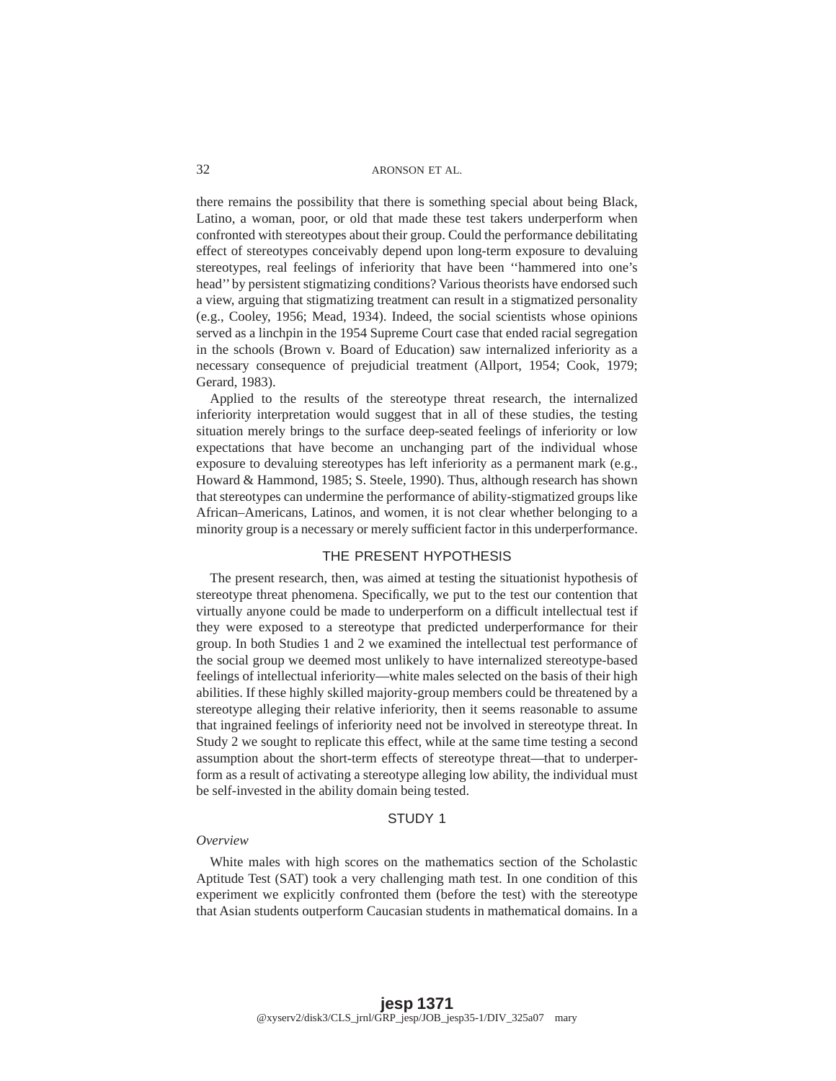there remains the possibility that there is something special about being Black, Latino, a woman, poor, or old that made these test takers underperform when confronted with stereotypes about their group. Could the performance debilitating effect of stereotypes conceivably depend upon long-term exposure to devaluing stereotypes, real feelings of inferiority that have been ''hammered into one's head'' by persistent stigmatizing conditions? Various theorists have endorsed such a view, arguing that stigmatizing treatment can result in a stigmatized personality (e.g., Cooley, 1956; Mead, 1934). Indeed, the social scientists whose opinions served as a linchpin in the 1954 Supreme Court case that ended racial segregation in the schools (Brown v. Board of Education) saw internalized inferiority as a necessary consequence of prejudicial treatment (Allport, 1954; Cook, 1979; Gerard, 1983).

Applied to the results of the stereotype threat research, the internalized inferiority interpretation would suggest that in all of these studies, the testing situation merely brings to the surface deep-seated feelings of inferiority or low expectations that have become an unchanging part of the individual whose exposure to devaluing stereotypes has left inferiority as a permanent mark (e.g., Howard & Hammond, 1985; S. Steele, 1990). Thus, although research has shown that stereotypes can undermine the performance of ability-stigmatized groups like African–Americans, Latinos, and women, it is not clear whether belonging to a minority group is a necessary or merely sufficient factor in this underperformance.

# THE PRESENT HYPOTHESIS

The present research, then, was aimed at testing the situationist hypothesis of stereotype threat phenomena. Specifically, we put to the test our contention that virtually anyone could be made to underperform on a difficult intellectual test if they were exposed to a stereotype that predicted underperformance for their group. In both Studies 1 and 2 we examined the intellectual test performance of the social group we deemed most unlikely to have internalized stereotype-based feelings of intellectual inferiority—white males selected on the basis of their high abilities. If these highly skilled majority-group members could be threatened by a stereotype alleging their relative inferiority, then it seems reasonable to assume that ingrained feelings of inferiority need not be involved in stereotype threat. In Study 2 we sought to replicate this effect, while at the same time testing a second assumption about the short-term effects of stereotype threat—that to underperform as a result of activating a stereotype alleging low ability, the individual must be self-invested in the ability domain being tested.

## STUDY 1

#### *Overview*

White males with high scores on the mathematics section of the Scholastic Aptitude Test (SAT) took a very challenging math test. In one condition of this experiment we explicitly confronted them (before the test) with the stereotype that Asian students outperform Caucasian students in mathematical domains. In a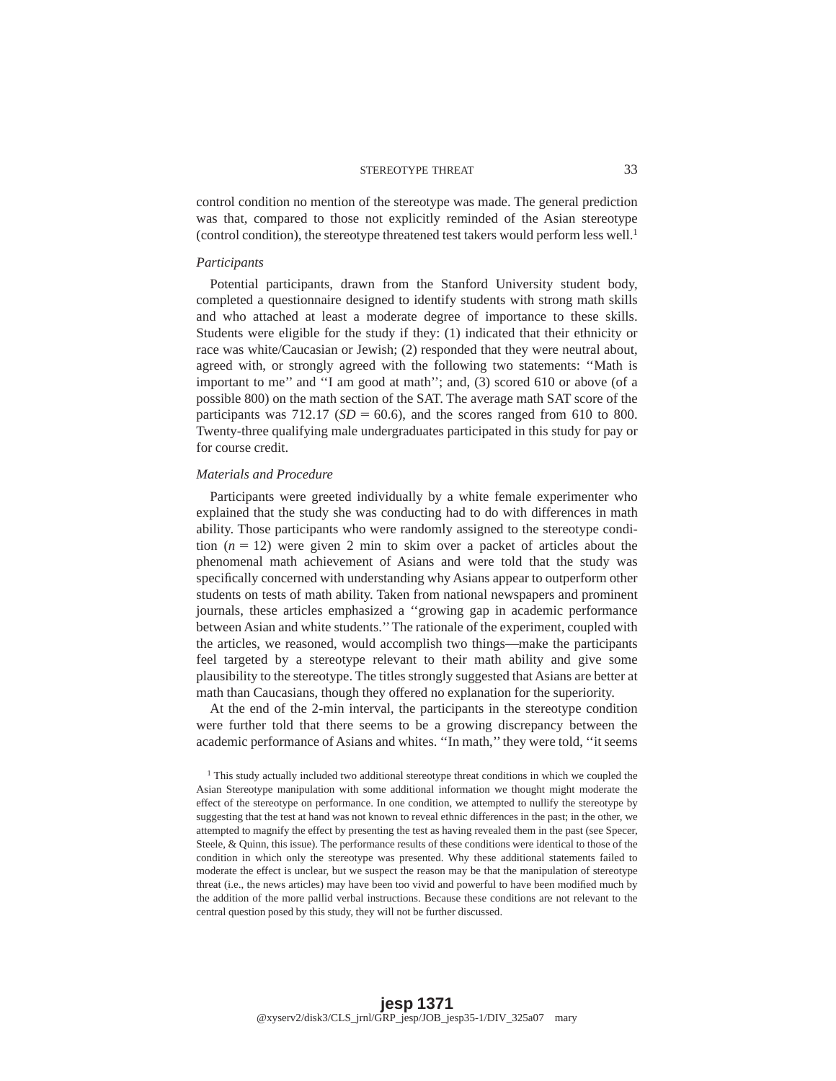control condition no mention of the stereotype was made. The general prediction was that, compared to those not explicitly reminded of the Asian stereotype (control condition), the stereotype threatened test takers would perform less well.<sup>1</sup>

## *Participants*

Potential participants, drawn from the Stanford University student body, completed a questionnaire designed to identify students with strong math skills and who attached at least a moderate degree of importance to these skills. Students were eligible for the study if they: (1) indicated that their ethnicity or race was white/Caucasian or Jewish; (2) responded that they were neutral about, agreed with, or strongly agreed with the following two statements: ''Math is important to me'' and ''I am good at math''; and, (3) scored 610 or above (of a possible 800) on the math section of the SAT. The average math SAT score of the participants was  $712.17$  (*SD* = 60.6), and the scores ranged from 610 to 800. Twenty-three qualifying male undergraduates participated in this study for pay or for course credit.

## *Materials and Procedure*

Participants were greeted individually by a white female experimenter who explained that the study she was conducting had to do with differences in math ability. Those participants who were randomly assigned to the stereotype condition  $(n = 12)$  were given 2 min to skim over a packet of articles about the phenomenal math achievement of Asians and were told that the study was specifically concerned with understanding why Asians appear to outperform other students on tests of math ability. Taken from national newspapers and prominent journals, these articles emphasized a ''growing gap in academic performance between Asian and white students.''The rationale of the experiment, coupled with the articles, we reasoned, would accomplish two things—make the participants feel targeted by a stereotype relevant to their math ability and give some plausibility to the stereotype. The titles strongly suggested that Asians are better at math than Caucasians, though they offered no explanation for the superiority.

At the end of the 2-min interval, the participants in the stereotype condition were further told that there seems to be a growing discrepancy between the academic performance of Asians and whites. ''In math,'' they were told, ''it seems

<sup>1</sup> This study actually included two additional stereotype threat conditions in which we coupled the Asian Stereotype manipulation with some additional information we thought might moderate the effect of the stereotype on performance. In one condition, we attempted to nullify the stereotype by suggesting that the test at hand was not known to reveal ethnic differences in the past; in the other, we attempted to magnify the effect by presenting the test as having revealed them in the past (see Specer, Steele, & Quinn, this issue). The performance results of these conditions were identical to those of the condition in which only the stereotype was presented. Why these additional statements failed to moderate the effect is unclear, but we suspect the reason may be that the manipulation of stereotype threat (i.e., the news articles) may have been too vivid and powerful to have been modified much by the addition of the more pallid verbal instructions. Because these conditions are not relevant to the central question posed by this study, they will not be further discussed.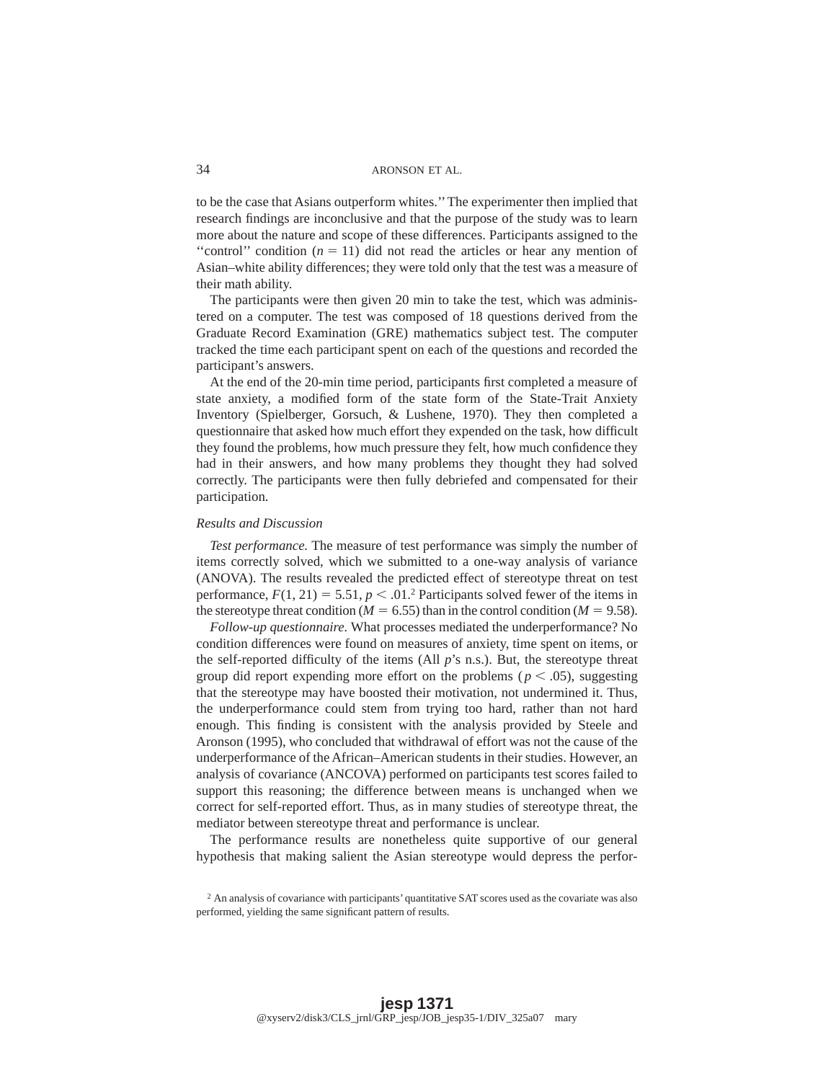to be the case that Asians outperform whites.'' The experimenter then implied that research findings are inconclusive and that the purpose of the study was to learn more about the nature and scope of these differences. Participants assigned to the "control" condition  $(n = 11)$  did not read the articles or hear any mention of Asian–white ability differences; they were told only that the test was a measure of their math ability.

The participants were then given 20 min to take the test, which was administered on a computer. The test was composed of 18 questions derived from the Graduate Record Examination (GRE) mathematics subject test. The computer tracked the time each participant spent on each of the questions and recorded the participant's answers.

At the end of the 20-min time period, participants first completed a measure of state anxiety, a modified form of the state form of the State-Trait Anxiety Inventory (Spielberger, Gorsuch, & Lushene, 1970). They then completed a questionnaire that asked how much effort they expended on the task, how difficult they found the problems, how much pressure they felt, how much confidence they had in their answers, and how many problems they thought they had solved correctly. The participants were then fully debriefed and compensated for their participation.

#### *Results and Discussion*

*Test performance.* The measure of test performance was simply the number of items correctly solved, which we submitted to a one-way analysis of variance (ANOVA). The results revealed the predicted effect of stereotype threat on test performance,  $F(1, 21) = 5.51$ ,  $p < .01$ .<sup>2</sup> Participants solved fewer of the items in the stereotype threat condition ( $\dot{M} = 6.55$ ) than in the control condition ( $M = 9.58$ ).

*Follow-up questionnaire.* What processes mediated the underperformance? No condition differences were found on measures of anxiety, time spent on items, or the self-reported difficulty of the items (All *p*'s n.s.). But, the stereotype threat group did report expending more effort on the problems ( $p < .05$ ), suggesting that the stereotype may have boosted their motivation, not undermined it. Thus, the underperformance could stem from trying too hard, rather than not hard enough. This finding is consistent with the analysis provided by Steele and Aronson (1995), who concluded that withdrawal of effort was not the cause of the underperformance of the African–American students in their studies. However, an analysis of covariance (ANCOVA) performed on participants test scores failed to support this reasoning; the difference between means is unchanged when we correct for self-reported effort. Thus, as in many studies of stereotype threat, the mediator between stereotype threat and performance is unclear.

The performance results are nonetheless quite supportive of our general hypothesis that making salient the Asian stereotype would depress the perfor-

<sup>&</sup>lt;sup>2</sup> An analysis of covariance with participants' quantitative SAT scores used as the covariate was also performed, yielding the same significant pattern of results.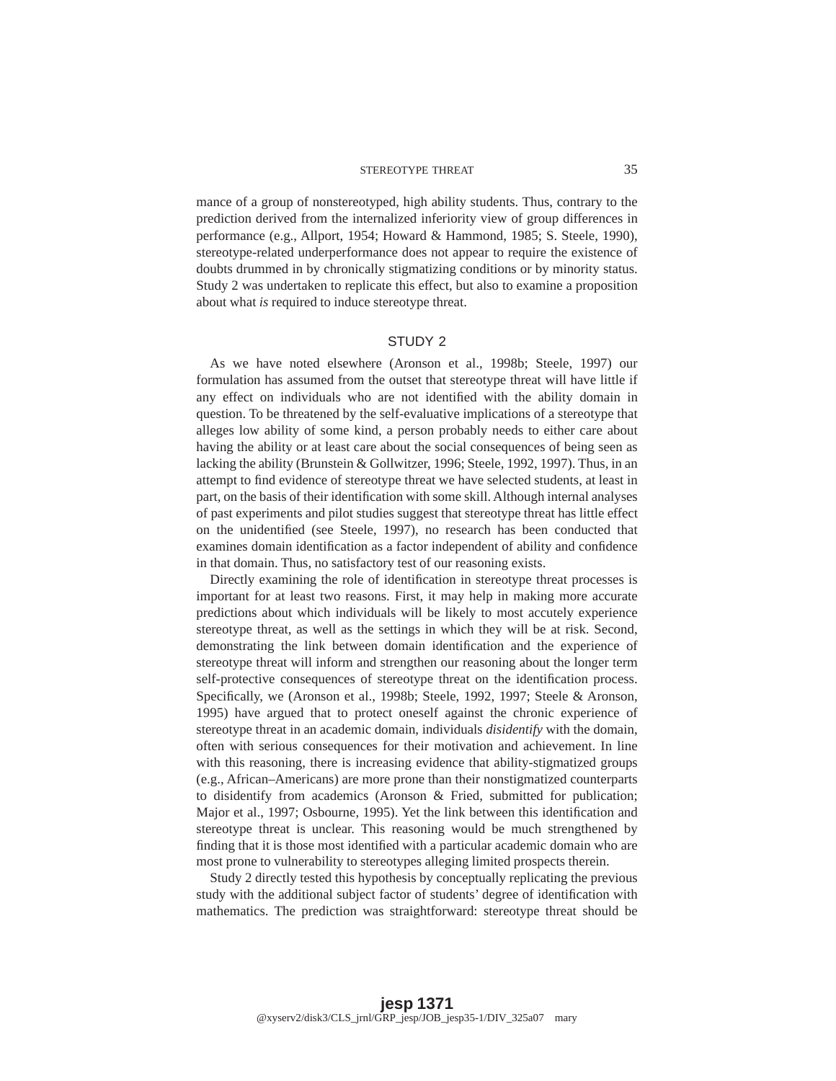mance of a group of nonstereotyped, high ability students. Thus, contrary to the prediction derived from the internalized inferiority view of group differences in performance (e.g., Allport, 1954; Howard & Hammond, 1985; S. Steele, 1990), stereotype-related underperformance does not appear to require the existence of doubts drummed in by chronically stigmatizing conditions or by minority status. Study 2 was undertaken to replicate this effect, but also to examine a proposition about what *is* required to induce stereotype threat.

## STUDY 2

As we have noted elsewhere (Aronson et al., 1998b; Steele, 1997) our formulation has assumed from the outset that stereotype threat will have little if any effect on individuals who are not identified with the ability domain in question. To be threatened by the self-evaluative implications of a stereotype that alleges low ability of some kind, a person probably needs to either care about having the ability or at least care about the social consequences of being seen as lacking the ability (Brunstein & Gollwitzer, 1996; Steele, 1992, 1997). Thus, in an attempt to find evidence of stereotype threat we have selected students, at least in part, on the basis of their identification with some skill. Although internal analyses of past experiments and pilot studies suggest that stereotype threat has little effect on the unidentified (see Steele, 1997), no research has been conducted that examines domain identification as a factor independent of ability and confidence in that domain. Thus, no satisfactory test of our reasoning exists.

Directly examining the role of identification in stereotype threat processes is important for at least two reasons. First, it may help in making more accurate predictions about which individuals will be likely to most accutely experience stereotype threat, as well as the settings in which they will be at risk. Second, demonstrating the link between domain identification and the experience of stereotype threat will inform and strengthen our reasoning about the longer term self-protective consequences of stereotype threat on the identification process. Specifically, we (Aronson et al., 1998b; Steele, 1992, 1997; Steele & Aronson, 1995) have argued that to protect oneself against the chronic experience of stereotype threat in an academic domain, individuals *disidentify* with the domain, often with serious consequences for their motivation and achievement. In line with this reasoning, there is increasing evidence that ability-stigmatized groups (e.g., African–Americans) are more prone than their nonstigmatized counterparts to disidentify from academics (Aronson & Fried, submitted for publication; Major et al., 1997; Osbourne, 1995). Yet the link between this identification and stereotype threat is unclear. This reasoning would be much strengthened by finding that it is those most identified with a particular academic domain who are most prone to vulnerability to stereotypes alleging limited prospects therein.

Study 2 directly tested this hypothesis by conceptually replicating the previous study with the additional subject factor of students' degree of identification with mathematics. The prediction was straightforward: stereotype threat should be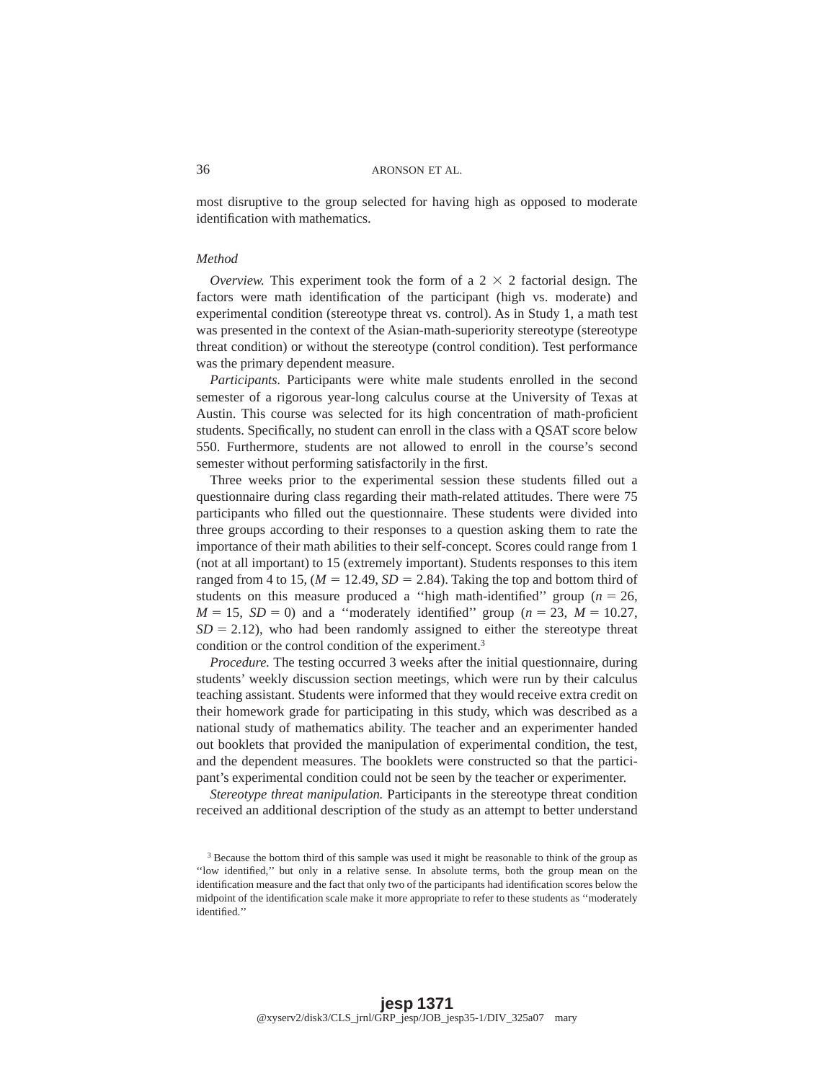most disruptive to the group selected for having high as opposed to moderate identification with mathematics.

#### *Method*

*Overview.* This experiment took the form of a  $2 \times 2$  factorial design. The factors were math identification of the participant (high vs. moderate) and experimental condition (stereotype threat vs. control). As in Study 1, a math test was presented in the context of the Asian-math-superiority stereotype (stereotype threat condition) or without the stereotype (control condition). Test performance was the primary dependent measure.

*Participants.* Participants were white male students enrolled in the second semester of a rigorous year-long calculus course at the University of Texas at Austin. This course was selected for its high concentration of math-proficient students. Specifically, no student can enroll in the class with a QSAT score below 550. Furthermore, students are not allowed to enroll in the course's second semester without performing satisfactorily in the first.

Three weeks prior to the experimental session these students filled out a questionnaire during class regarding their math-related attitudes. There were 75 participants who filled out the questionnaire. These students were divided into three groups according to their responses to a question asking them to rate the importance of their math abilities to their self-concept. Scores could range from 1 (not at all important) to 15 (extremely important). Students responses to this item ranged from 4 to 15,  $(M = 12.49, SD = 2.84)$ . Taking the top and bottom third of students on this measure produced a "high math-identified" group  $(n = 26)$ ,  $M = 15$ ,  $SD = 0$ ) and a "moderately identified" group ( $n = 23$ ,  $M = 10.27$ ,  $SD = 2.12$ ), who had been randomly assigned to either the stereotype threat condition or the control condition of the experiment.<sup>3</sup>

*Procedure.* The testing occurred 3 weeks after the initial questionnaire, during students' weekly discussion section meetings, which were run by their calculus teaching assistant. Students were informed that they would receive extra credit on their homework grade for participating in this study, which was described as a national study of mathematics ability. The teacher and an experimenter handed out booklets that provided the manipulation of experimental condition, the test, and the dependent measures. The booklets were constructed so that the participant's experimental condition could not be seen by the teacher or experimenter.

*Stereotype threat manipulation.* Participants in the stereotype threat condition received an additional description of the study as an attempt to better understand

<sup>&</sup>lt;sup>3</sup> Because the bottom third of this sample was used it might be reasonable to think of the group as ''low identified,'' but only in a relative sense. In absolute terms, both the group mean on the identification measure and the fact that only two of the participants had identification scores below the midpoint of the identification scale make it more appropriate to refer to these students as ''moderately identified.''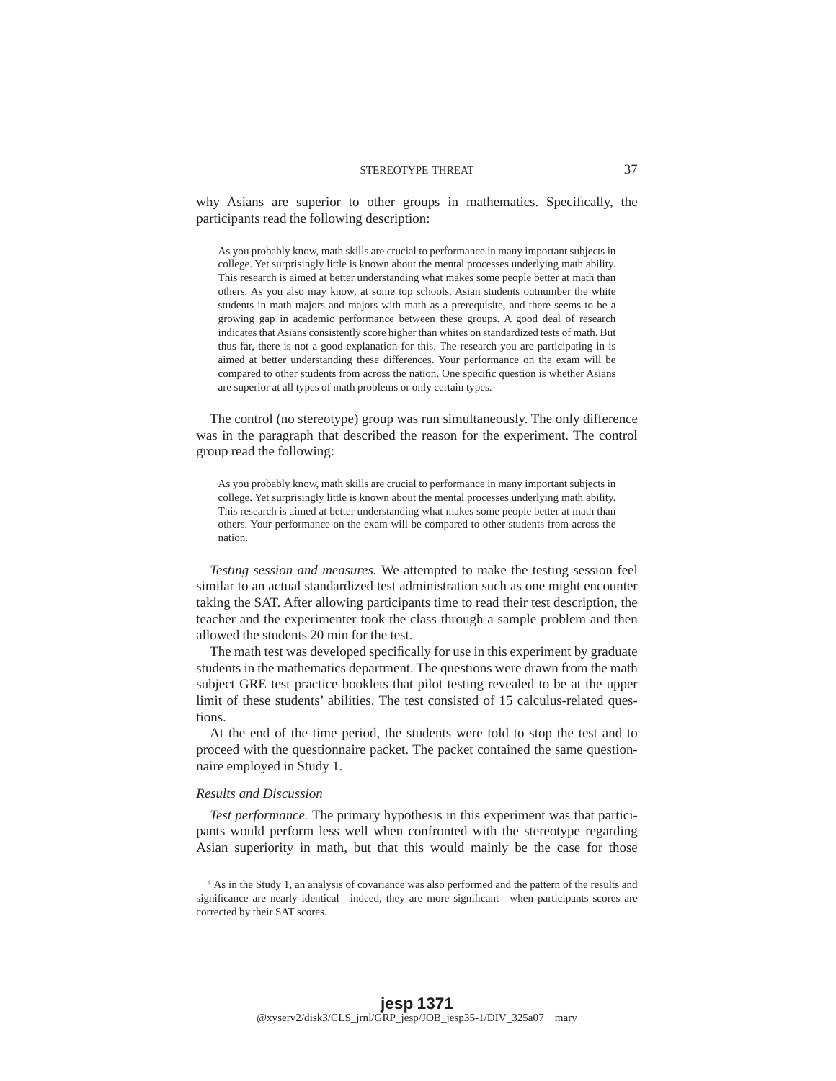why Asians are superior to other groups in mathematics. Specifically, the participants read the following description:

As you probably know, math skills are crucial to performance in many important subjects in college. Yet surprisingly little is known about the mental processes underlying math ability. This research is aimed at better understanding what makes some people better at math than others. As you also may know, at some top schools, Asian students outnumber the white students in math majors and majors with math as a prerequisite, and there seems to be a growing gap in academic performance between these groups. A good deal of research indicates that Asians consistently score higher than whites on standardized tests of math. But thus far, there is not a good explanation for this. The research you are participating in is aimed at better understanding these differences. Your performance on the exam will be compared to other students from across the nation. One specific question is whether Asians are superior at all types of math problems or only certain types.

The control (no stereotype) group was run simultaneously. The only difference was in the paragraph that described the reason for the experiment. The control group read the following:

As you probably know, math skills are crucial to performance in many important subjects in college. Yet surprisingly little is known about the mental processes underlying math ability. This research is aimed at better understanding what makes some people better at math than others. Your performance on the exam will be compared to other students from across the nation.

*Testing session and measures.* We attempted to make the testing session feel similar to an actual standardized test administration such as one might encounter taking the SAT. After allowing participants time to read their test description, the teacher and the experimenter took the class through a sample problem and then allowed the students 20 min for the test.

The math test was developed specifically for use in this experiment by graduate students in the mathematics department. The questions were drawn from the math subject GRE test practice booklets that pilot testing revealed to be at the upper limit of these students' abilities. The test consisted of 15 calculus-related questions.

At the end of the time period, the students were told to stop the test and to proceed with the questionnaire packet. The packet contained the same questionnaire employed in Study 1.

## *Results and Discussion*

*Test performance.* The primary hypothesis in this experiment was that participants would perform less well when confronted with the stereotype regarding Asian superiority in math, but that this would mainly be the case for those

<sup>4</sup> As in the Study 1, an analysis of covariance was also performed and the pattern of the results and significance are nearly identical—indeed, they are more significant—when participants scores are corrected by their SAT scores.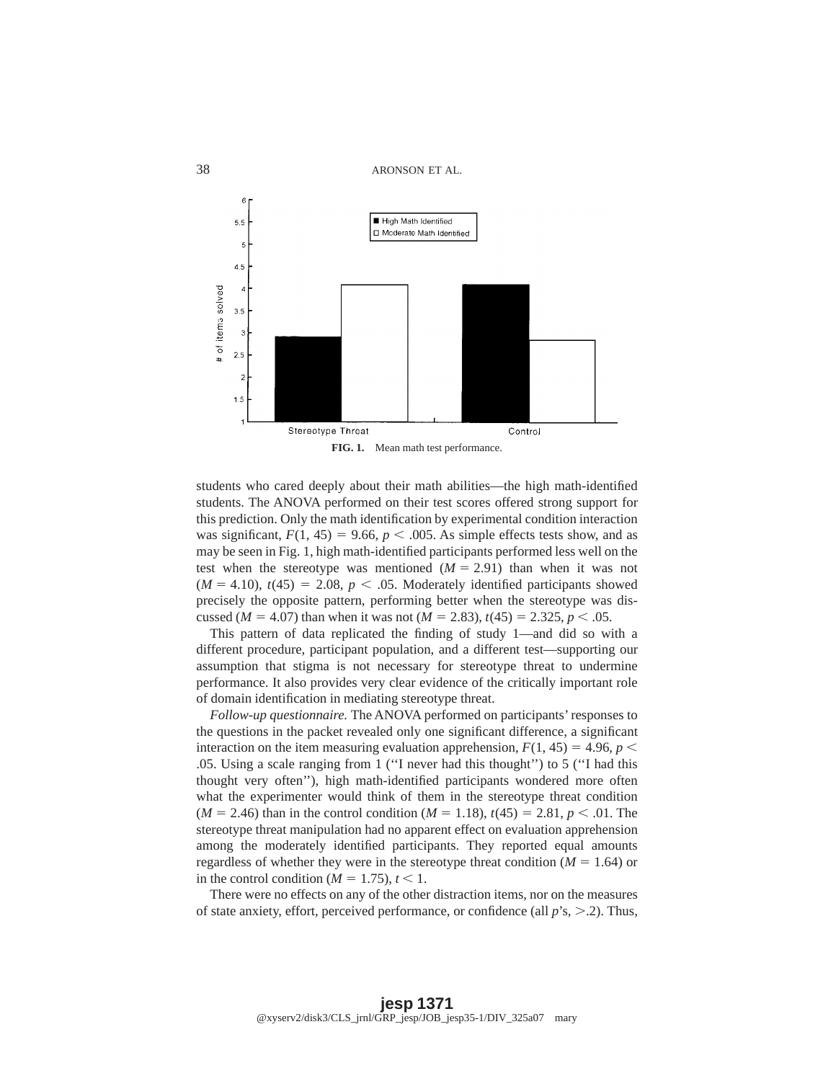

**FIG. 1.** Mean math test performance.

students who cared deeply about their math abilities—the high math-identified students. The ANOVA performed on their test scores offered strong support for this prediction. Only the math identification by experimental condition interaction was significant,  $F(1, 45) = 9.66$ ,  $p < .005$ . As simple effects tests show, and as may be seen in Fig. 1, high math-identified participants performed less well on the test when the stereotype was mentioned  $(M = 2.91)$  than when it was not  $(M = 4.10)$ ,  $t(45) = 2.08$ ,  $p < .05$ . Moderately identified participants showed precisely the opposite pattern, performing better when the stereotype was discussed ( $M = 4.07$ ) than when it was not ( $M = 2.83$ ),  $t(45) = 2.325$ ,  $p < .05$ .

This pattern of data replicated the finding of study 1—and did so with a different procedure, participant population, and a different test—supporting our assumption that stigma is not necessary for stereotype threat to undermine performance. It also provides very clear evidence of the critically important role of domain identification in mediating stereotype threat.

*Follow-up questionnaire.* The ANOVA performed on participants' responses to the questions in the packet revealed only one significant difference, a significant interaction on the item measuring evaluation apprehension,  $F(1, 45) = 4.96$ ,  $p <$ .05. Using a scale ranging from 1 (''I never had this thought'') to 5 (''I had this thought very often''), high math-identified participants wondered more often what the experimenter would think of them in the stereotype threat condition  $(M = 2.46)$  than in the control condition  $(M = 1.18)$ ,  $t(45) = 2.81$ ,  $p < .01$ . The stereotype threat manipulation had no apparent effect on evaluation apprehension among the moderately identified participants. They reported equal amounts regardless of whether they were in the stereotype threat condition  $(M = 1.64)$  or in the control condition  $(M = 1.75)$ ,  $t \le 1$ .

There were no effects on any of the other distraction items, nor on the measures of state anxiety, effort, perceived performance, or confidence (all  $p$ 's,  $>$ .2). Thus,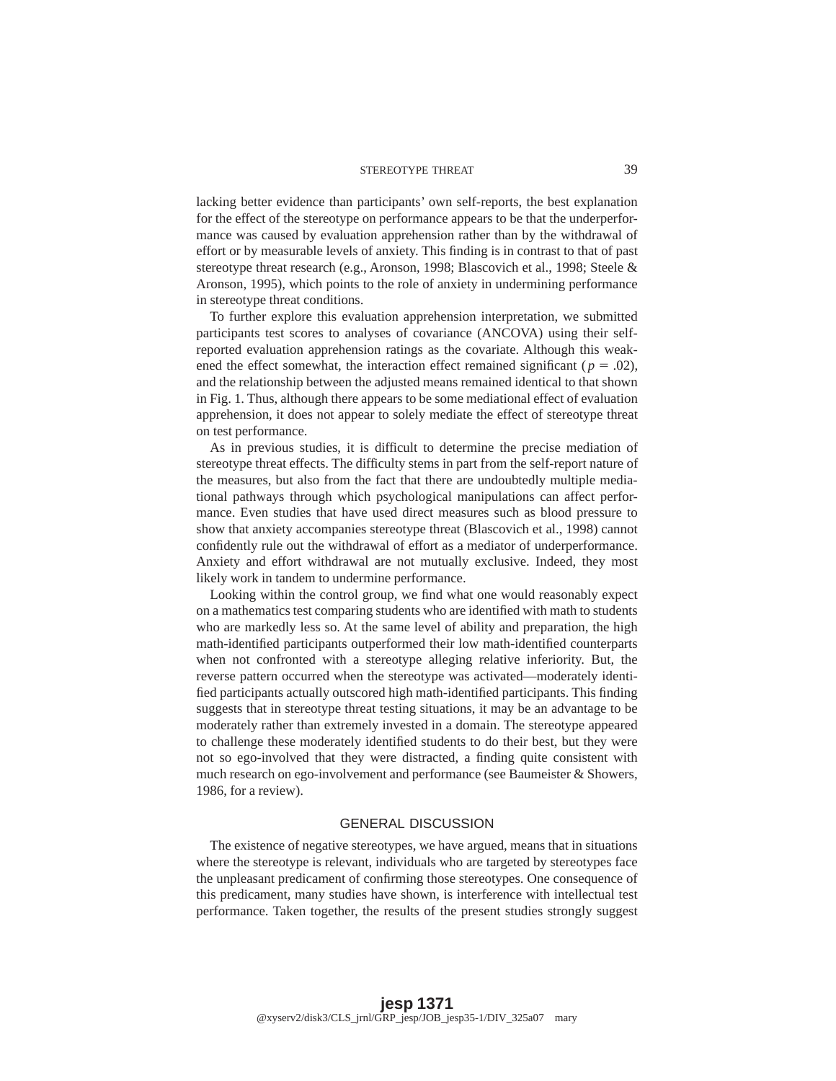lacking better evidence than participants' own self-reports, the best explanation for the effect of the stereotype on performance appears to be that the underperformance was caused by evaluation apprehension rather than by the withdrawal of effort or by measurable levels of anxiety. This finding is in contrast to that of past stereotype threat research (e.g., Aronson, 1998; Blascovich et al., 1998; Steele & Aronson, 1995), which points to the role of anxiety in undermining performance in stereotype threat conditions.

To further explore this evaluation apprehension interpretation, we submitted participants test scores to analyses of covariance (ANCOVA) using their selfreported evaluation apprehension ratings as the covariate. Although this weakened the effect somewhat, the interaction effect remained significant ( $p = .02$ ), and the relationship between the adjusted means remained identical to that shown in Fig. 1. Thus, although there appears to be some mediational effect of evaluation apprehension, it does not appear to solely mediate the effect of stereotype threat on test performance.

As in previous studies, it is difficult to determine the precise mediation of stereotype threat effects. The difficulty stems in part from the self-report nature of the measures, but also from the fact that there are undoubtedly multiple mediational pathways through which psychological manipulations can affect performance. Even studies that have used direct measures such as blood pressure to show that anxiety accompanies stereotype threat (Blascovich et al., 1998) cannot confidently rule out the withdrawal of effort as a mediator of underperformance. Anxiety and effort withdrawal are not mutually exclusive. Indeed, they most likely work in tandem to undermine performance.

Looking within the control group, we find what one would reasonably expect on a mathematics test comparing students who are identified with math to students who are markedly less so. At the same level of ability and preparation, the high math-identified participants outperformed their low math-identified counterparts when not confronted with a stereotype alleging relative inferiority. But, the reverse pattern occurred when the stereotype was activated—moderately identified participants actually outscored high math-identified participants. This finding suggests that in stereotype threat testing situations, it may be an advantage to be moderately rather than extremely invested in a domain. The stereotype appeared to challenge these moderately identified students to do their best, but they were not so ego-involved that they were distracted, a finding quite consistent with much research on ego-involvement and performance (see Baumeister & Showers, 1986, for a review).

## GENERAL DISCUSSION

The existence of negative stereotypes, we have argued, means that in situations where the stereotype is relevant, individuals who are targeted by stereotypes face the unpleasant predicament of confirming those stereotypes. One consequence of this predicament, many studies have shown, is interference with intellectual test performance. Taken together, the results of the present studies strongly suggest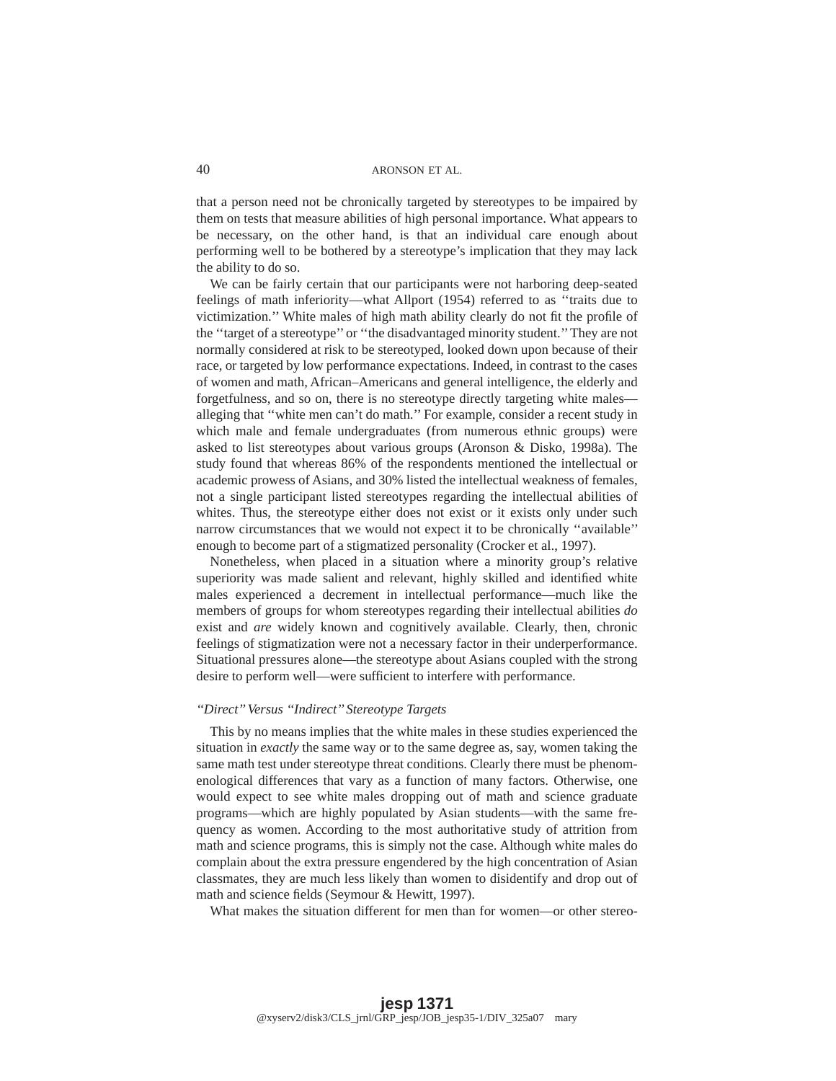that a person need not be chronically targeted by stereotypes to be impaired by them on tests that measure abilities of high personal importance. What appears to be necessary, on the other hand, is that an individual care enough about performing well to be bothered by a stereotype's implication that they may lack the ability to do so.

We can be fairly certain that our participants were not harboring deep-seated feelings of math inferiority—what Allport (1954) referred to as ''traits due to victimization.'' White males of high math ability clearly do not fit the profile of the ''target of a stereotype'' or ''the disadvantaged minority student.''They are not normally considered at risk to be stereotyped, looked down upon because of their race, or targeted by low performance expectations. Indeed, in contrast to the cases of women and math, African–Americans and general intelligence, the elderly and forgetfulness, and so on, there is no stereotype directly targeting white males alleging that ''white men can't do math.'' For example, consider a recent study in which male and female undergraduates (from numerous ethnic groups) were asked to list stereotypes about various groups (Aronson & Disko, 1998a). The study found that whereas 86% of the respondents mentioned the intellectual or academic prowess of Asians, and 30% listed the intellectual weakness of females, not a single participant listed stereotypes regarding the intellectual abilities of whites. Thus, the stereotype either does not exist or it exists only under such narrow circumstances that we would not expect it to be chronically ''available'' enough to become part of a stigmatized personality (Crocker et al., 1997).

Nonetheless, when placed in a situation where a minority group's relative superiority was made salient and relevant, highly skilled and identified white males experienced a decrement in intellectual performance—much like the members of groups for whom stereotypes regarding their intellectual abilities *do* exist and *are* widely known and cognitively available. Clearly, then, chronic feelings of stigmatization were not a necessary factor in their underperformance. Situational pressures alone—the stereotype about Asians coupled with the strong desire to perform well—were sufficient to interfere with performance.

#### *''Direct'' Versus ''Indirect'' Stereotype Targets*

This by no means implies that the white males in these studies experienced the situation in *exactly* the same way or to the same degree as, say, women taking the same math test under stereotype threat conditions. Clearly there must be phenomenological differences that vary as a function of many factors. Otherwise, one would expect to see white males dropping out of math and science graduate programs—which are highly populated by Asian students—with the same frequency as women. According to the most authoritative study of attrition from math and science programs, this is simply not the case. Although white males do complain about the extra pressure engendered by the high concentration of Asian classmates, they are much less likely than women to disidentify and drop out of math and science fields (Seymour & Hewitt, 1997).

What makes the situation different for men than for women—or other stereo-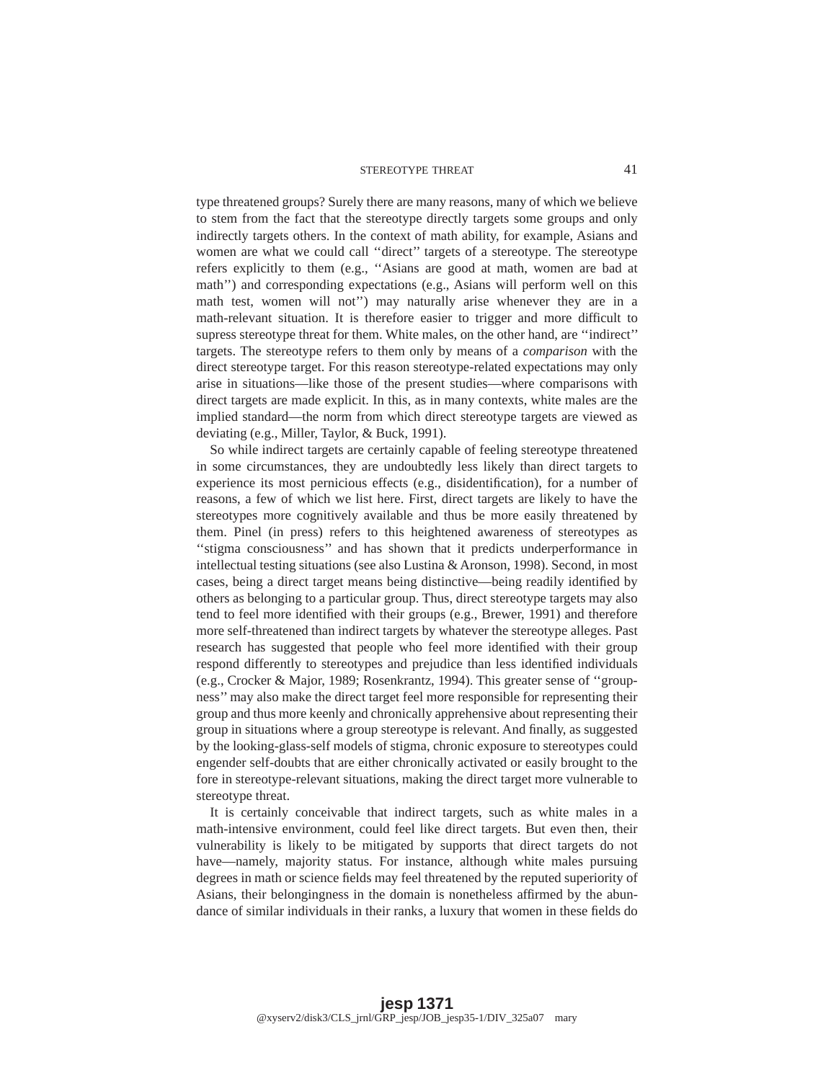type threatened groups? Surely there are many reasons, many of which we believe to stem from the fact that the stereotype directly targets some groups and only indirectly targets others. In the context of math ability, for example, Asians and women are what we could call "direct" targets of a stereotype. The stereotype refers explicitly to them (e.g., ''Asians are good at math, women are bad at math'') and corresponding expectations (e.g., Asians will perform well on this math test, women will not'') may naturally arise whenever they are in a math-relevant situation. It is therefore easier to trigger and more difficult to supress stereotype threat for them. White males, on the other hand, are ''indirect'' targets. The stereotype refers to them only by means of a *comparison* with the direct stereotype target. For this reason stereotype-related expectations may only arise in situations—like those of the present studies—where comparisons with direct targets are made explicit. In this, as in many contexts, white males are the implied standard—the norm from which direct stereotype targets are viewed as deviating (e.g., Miller, Taylor, & Buck, 1991).

So while indirect targets are certainly capable of feeling stereotype threatened in some circumstances, they are undoubtedly less likely than direct targets to experience its most pernicious effects (e.g., disidentification), for a number of reasons, a few of which we list here. First, direct targets are likely to have the stereotypes more cognitively available and thus be more easily threatened by them. Pinel (in press) refers to this heightened awareness of stereotypes as ''stigma consciousness'' and has shown that it predicts underperformance in intellectual testing situations (see also Lustina & Aronson, 1998). Second, in most cases, being a direct target means being distinctive—being readily identified by others as belonging to a particular group. Thus, direct stereotype targets may also tend to feel more identified with their groups (e.g., Brewer, 1991) and therefore more self-threatened than indirect targets by whatever the stereotype alleges. Past research has suggested that people who feel more identified with their group respond differently to stereotypes and prejudice than less identified individuals (e.g., Crocker & Major, 1989; Rosenkrantz, 1994). This greater sense of ''groupness'' may also make the direct target feel more responsible for representing their group and thus more keenly and chronically apprehensive about representing their group in situations where a group stereotype is relevant. And finally, as suggested by the looking-glass-self models of stigma, chronic exposure to stereotypes could engender self-doubts that are either chronically activated or easily brought to the fore in stereotype-relevant situations, making the direct target more vulnerable to stereotype threat.

It is certainly conceivable that indirect targets, such as white males in a math-intensive environment, could feel like direct targets. But even then, their vulnerability is likely to be mitigated by supports that direct targets do not have—namely, majority status. For instance, although white males pursuing degrees in math or science fields may feel threatened by the reputed superiority of Asians, their belongingness in the domain is nonetheless affirmed by the abundance of similar individuals in their ranks, a luxury that women in these fields do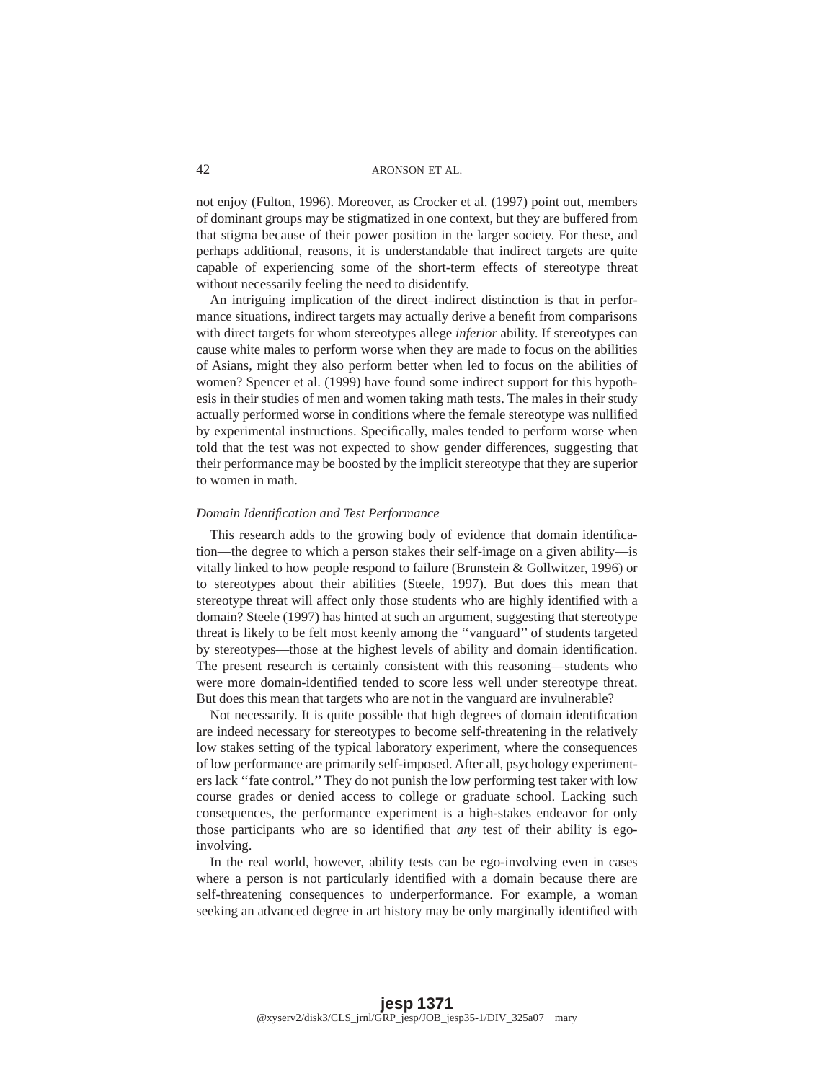not enjoy (Fulton, 1996). Moreover, as Crocker et al. (1997) point out, members of dominant groups may be stigmatized in one context, but they are buffered from that stigma because of their power position in the larger society. For these, and perhaps additional, reasons, it is understandable that indirect targets are quite capable of experiencing some of the short-term effects of stereotype threat without necessarily feeling the need to disidentify.

An intriguing implication of the direct–indirect distinction is that in performance situations, indirect targets may actually derive a benefit from comparisons with direct targets for whom stereotypes allege *inferior* ability. If stereotypes can cause white males to perform worse when they are made to focus on the abilities of Asians, might they also perform better when led to focus on the abilities of women? Spencer et al. (1999) have found some indirect support for this hypothesis in their studies of men and women taking math tests. The males in their study actually performed worse in conditions where the female stereotype was nullified by experimental instructions. Specifically, males tended to perform worse when told that the test was not expected to show gender differences, suggesting that their performance may be boosted by the implicit stereotype that they are superior to women in math.

## *Domain Identification and Test Performance*

This research adds to the growing body of evidence that domain identification—the degree to which a person stakes their self-image on a given ability—is vitally linked to how people respond to failure (Brunstein & Gollwitzer, 1996) or to stereotypes about their abilities (Steele, 1997). But does this mean that stereotype threat will affect only those students who are highly identified with a domain? Steele (1997) has hinted at such an argument, suggesting that stereotype threat is likely to be felt most keenly among the ''vanguard'' of students targeted by stereotypes—those at the highest levels of ability and domain identification. The present research is certainly consistent with this reasoning—students who were more domain-identified tended to score less well under stereotype threat. But does this mean that targets who are not in the vanguard are invulnerable?

Not necessarily. It is quite possible that high degrees of domain identification are indeed necessary for stereotypes to become self-threatening in the relatively low stakes setting of the typical laboratory experiment, where the consequences of low performance are primarily self-imposed. After all, psychology experimenters lack ''fate control.''They do not punish the low performing test taker with low course grades or denied access to college or graduate school. Lacking such consequences, the performance experiment is a high-stakes endeavor for only those participants who are so identified that *any* test of their ability is egoinvolving.

In the real world, however, ability tests can be ego-involving even in cases where a person is not particularly identified with a domain because there are self-threatening consequences to underperformance. For example, a woman seeking an advanced degree in art history may be only marginally identified with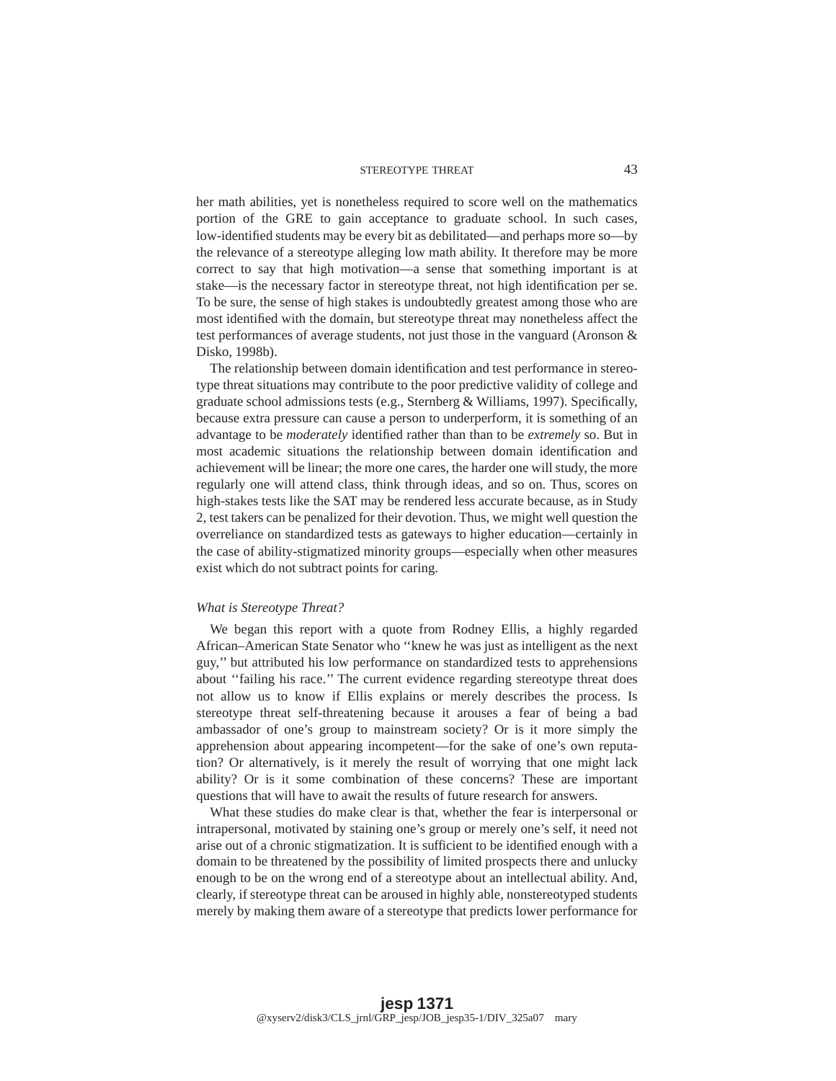her math abilities, yet is nonetheless required to score well on the mathematics portion of the GRE to gain acceptance to graduate school. In such cases, low-identified students may be every bit as debilitated—and perhaps more so—by the relevance of a stereotype alleging low math ability. It therefore may be more correct to say that high motivation—a sense that something important is at stake—is the necessary factor in stereotype threat, not high identification per se. To be sure, the sense of high stakes is undoubtedly greatest among those who are most identified with the domain, but stereotype threat may nonetheless affect the test performances of average students, not just those in the vanguard (Aronson & Disko, 1998b).

The relationship between domain identification and test performance in stereotype threat situations may contribute to the poor predictive validity of college and graduate school admissions tests (e.g., Sternberg & Williams, 1997). Specifically, because extra pressure can cause a person to underperform, it is something of an advantage to be *moderately* identified rather than than to be *extremely* so. But in most academic situations the relationship between domain identification and achievement will be linear; the more one cares, the harder one will study, the more regularly one will attend class, think through ideas, and so on. Thus, scores on high-stakes tests like the SAT may be rendered less accurate because, as in Study 2, test takers can be penalized for their devotion. Thus, we might well question the overreliance on standardized tests as gateways to higher education—certainly in the case of ability-stigmatized minority groups—especially when other measures exist which do not subtract points for caring.

#### *What is Stereotype Threat?*

We began this report with a quote from Rodney Ellis, a highly regarded African–American State Senator who ''knew he was just as intelligent as the next guy,'' but attributed his low performance on standardized tests to apprehensions about ''failing his race.'' The current evidence regarding stereotype threat does not allow us to know if Ellis explains or merely describes the process. Is stereotype threat self-threatening because it arouses a fear of being a bad ambassador of one's group to mainstream society? Or is it more simply the apprehension about appearing incompetent—for the sake of one's own reputation? Or alternatively, is it merely the result of worrying that one might lack ability? Or is it some combination of these concerns? These are important questions that will have to await the results of future research for answers.

What these studies do make clear is that, whether the fear is interpersonal or intrapersonal, motivated by staining one's group or merely one's self, it need not arise out of a chronic stigmatization. It is sufficient to be identified enough with a domain to be threatened by the possibility of limited prospects there and unlucky enough to be on the wrong end of a stereotype about an intellectual ability. And, clearly, if stereotype threat can be aroused in highly able, nonstereotyped students merely by making them aware of a stereotype that predicts lower performance for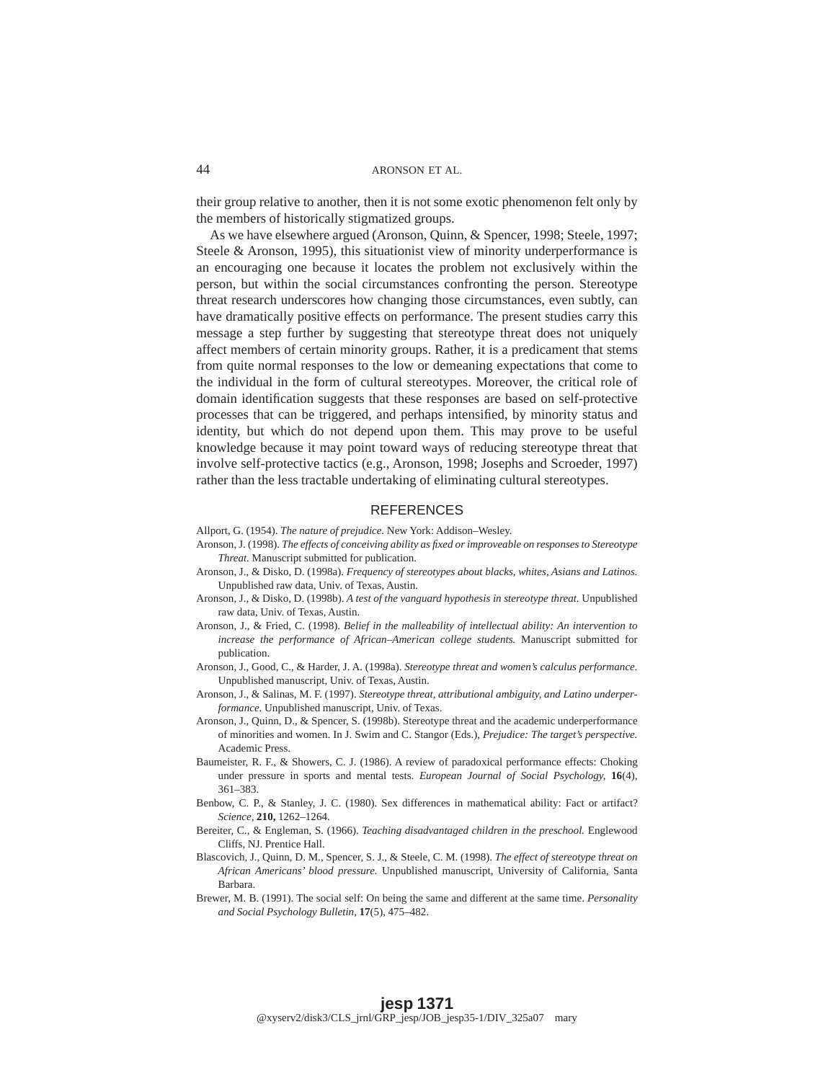their group relative to another, then it is not some exotic phenomenon felt only by the members of historically stigmatized groups.

As we have elsewhere argued (Aronson, Quinn, & Spencer, 1998; Steele, 1997; Steele & Aronson, 1995), this situationist view of minority underperformance is an encouraging one because it locates the problem not exclusively within the person, but within the social circumstances confronting the person. Stereotype threat research underscores how changing those circumstances, even subtly, can have dramatically positive effects on performance. The present studies carry this message a step further by suggesting that stereotype threat does not uniquely affect members of certain minority groups. Rather, it is a predicament that stems from quite normal responses to the low or demeaning expectations that come to the individual in the form of cultural stereotypes. Moreover, the critical role of domain identification suggests that these responses are based on self-protective processes that can be triggered, and perhaps intensified, by minority status and identity, but which do not depend upon them. This may prove to be useful knowledge because it may point toward ways of reducing stereotype threat that involve self-protective tactics (e.g., Aronson, 1998; Josephs and Scroeder, 1997) rather than the less tractable undertaking of eliminating cultural stereotypes.

#### REFERENCES

- Allport, G. (1954). *The nature of prejudice.* New York: Addison–Wesley.
- Aronson, J. (1998). *The effects of conceiving ability as fixed or improveable on responses to Stereotype Threat.* Manuscript submitted for publication.
- Aronson, J., & Disko, D. (1998a). *Frequency of stereotypes about blacks, whites, Asians and Latinos.* Unpublished raw data, Univ. of Texas, Austin.
- Aronson, J., & Disko, D. (1998b). *A test of the vanguard hypothesis in stereotype threat.* Unpublished raw data, Univ. of Texas, Austin.
- Aronson, J., & Fried, C. (1998). *Belief in the malleability of intellectual ability: An intervention to increase the performance of African–American college students.* Manuscript submitted for publication.
- Aronson, J., Good, C., & Harder, J. A. (1998a). *Stereotype threat and women's calculus performance.* Unpublished manuscript, Univ. of Texas, Austin.
- Aronson, J., & Salinas, M. F. (1997). *Stereotype threat, attributional ambiguity, and Latino underperformance.* Unpublished manuscript, Univ. of Texas.
- Aronson, J., Quinn, D., & Spencer, S. (1998b). Stereotype threat and the academic underperformance of minorities and women. In J. Swim and C. Stangor (Eds.), *Prejudice: The target's perspective.* Academic Press.
- Baumeister, R. F., & Showers, C. J. (1986). A review of paradoxical performance effects: Choking under pressure in sports and mental tests. *European Journal of Social Psychology,* **16**(4), 361–383.
- Benbow, C. P., & Stanley, J. C. (1980). Sex differences in mathematical ability: Fact or artifact? *Science,* **210,** 1262–1264.
- Bereiter, C., & Engleman, S. (1966). *Teaching disadvantaged children in the preschool.* Englewood Cliffs, NJ. Prentice Hall.
- Blascovich, J., Quinn, D. M., Spencer, S. J., & Steele, C. M. (1998). *The effect of stereotype threat on African Americans' blood pressure.* Unpublished manuscript, University of California, Santa Barbara.
- Brewer, M. B. (1991). The social self: On being the same and different at the same time. *Personality and Social Psychology Bulletin,* **17**(5), 475–482.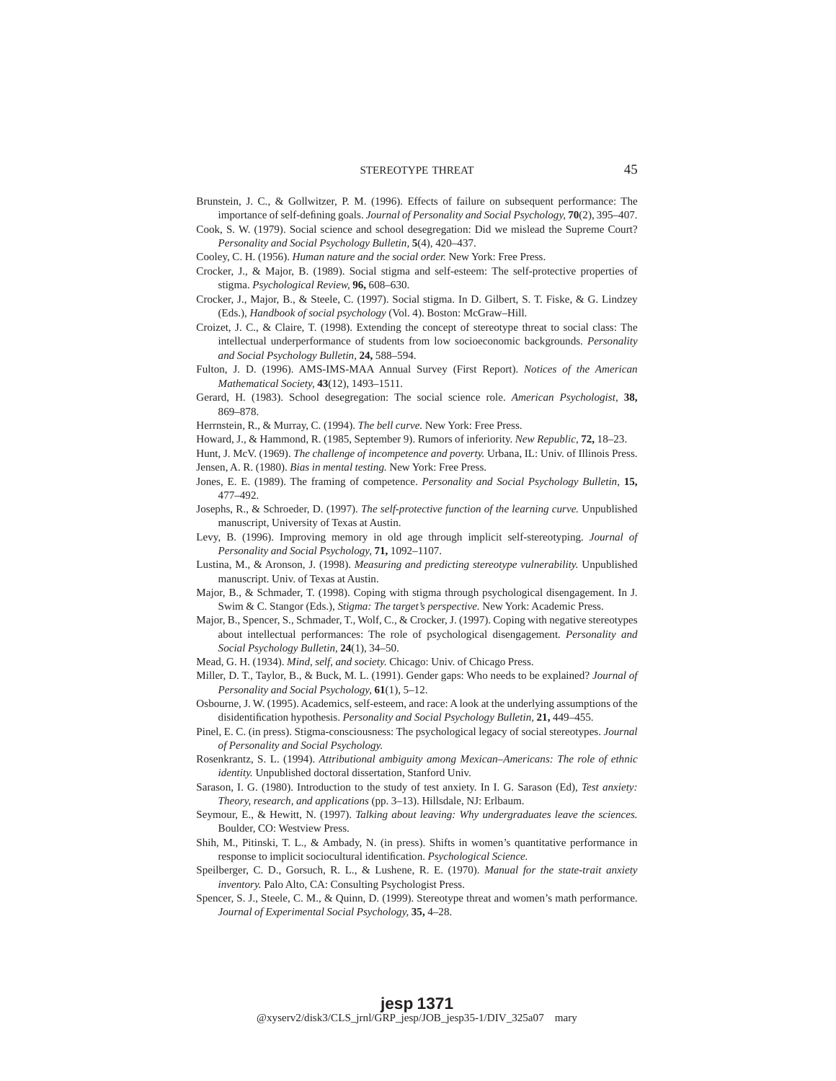- Brunstein, J. C., & Gollwitzer, P. M. (1996). Effects of failure on subsequent performance: The importance of self-defining goals. *Journal of Personality and Social Psychology,* **70**(2), 395–407.
- Cook, S. W. (1979). Social science and school desegregation: Did we mislead the Supreme Court? *Personality and Social Psychology Bulletin,* **5**(4), 420–437.
- Cooley, C. H. (1956). *Human nature and the social order.* New York: Free Press.
- Crocker, J., & Major, B. (1989). Social stigma and self-esteem: The self-protective properties of stigma. *Psychological Review,* **96,** 608–630.
- Crocker, J., Major, B., & Steele, C. (1997). Social stigma. In D. Gilbert, S. T. Fiske, & G. Lindzey (Eds.), *Handbook of social psychology* (Vol. 4). Boston: McGraw–Hill.
- Croizet, J. C., & Claire, T. (1998). Extending the concept of stereotype threat to social class: The intellectual underperformance of students from low socioeconomic backgrounds. *Personality and Social Psychology Bulletin,* **24,** 588–594.
- Fulton, J. D. (1996). AMS-IMS-MAA Annual Survey (First Report). *Notices of the American Mathematical Society,* **43**(12), 1493–1511.
- Gerard, H. (1983). School desegregation: The social science role. *American Psychologist,* **38,** 869–878.
- Herrnstein, R., & Murray, C. (1994). *The bell curve.* New York: Free Press.
- Howard, J., & Hammond, R. (1985, September 9). Rumors of inferiority. *New Republic,* **72,** 18–23.
- Hunt, J. McV. (1969). *The challenge of incompetence and poverty.* Urbana, IL: Univ. of Illinois Press.
- Jensen, A. R. (1980). *Bias in mental testing.* New York: Free Press.
- Jones, E. E. (1989). The framing of competence. *Personality and Social Psychology Bulletin,* **15,** 477–492.
- Josephs, R., & Schroeder, D. (1997). *The self-protective function of the learning curve.* Unpublished manuscript, University of Texas at Austin.
- Levy, B. (1996). Improving memory in old age through implicit self-stereotyping. *Journal of Personality and Social Psychology,* **71,** 1092–1107.
- Lustina, M., & Aronson, J. (1998). *Measuring and predicting stereotype vulnerability.* Unpublished manuscript. Univ. of Texas at Austin.
- Major, B., & Schmader, T. (1998). Coping with stigma through psychological disengagement. In J. Swim & C. Stangor (Eds.), *Stigma: The target's perspective.* New York: Academic Press.
- Major, B., Spencer, S., Schmader, T., Wolf, C., & Crocker, J. (1997). Coping with negative stereotypes about intellectual performances: The role of psychological disengagement. *Personality and Social Psychology Bulletin,* **24**(1), 34–50.
- Mead, G. H. (1934). *Mind, self, and society.* Chicago: Univ. of Chicago Press.
- Miller, D. T., Taylor, B., & Buck, M. L. (1991). Gender gaps: Who needs to be explained? *Journal of Personality and Social Psychology,* **61**(1), 5–12.
- Osbourne, J. W. (1995). Academics, self-esteem, and race: A look at the underlying assumptions of the disidentification hypothesis. *Personality and Social Psychology Bulletin,* **21,** 449–455.
- Pinel, E. C. (in press). Stigma-consciousness: The psychological legacy of social stereotypes. *Journal of Personality and Social Psychology.*
- Rosenkrantz, S. L. (1994). *Attributional ambiguity among Mexican–Americans: The role of ethnic identity.* Unpublished doctoral dissertation, Stanford Univ.
- Sarason, I. G. (1980). Introduction to the study of test anxiety. In I. G. Sarason (Ed), *Test anxiety: Theory, research, and applications* (pp. 3–13). Hillsdale, NJ: Erlbaum.
- Seymour, E., & Hewitt, N. (1997). *Talking about leaving: Why undergraduates leave the sciences.* Boulder, CO: Westview Press.
- Shih, M., Pitinski, T. L., & Ambady, N. (in press). Shifts in women's quantitative performance in response to implicit sociocultural identification. *Psychological Science.*
- Speilberger, C. D., Gorsuch, R. L., & Lushene, R. E. (1970). *Manual for the state-trait anxiety inventory.* Palo Alto, CA: Consulting Psychologist Press.
- Spencer, S. J., Steele, C. M., & Quinn, D. (1999). Stereotype threat and women's math performance. *Journal of Experimental Social Psychology,* **35,** 4–28.